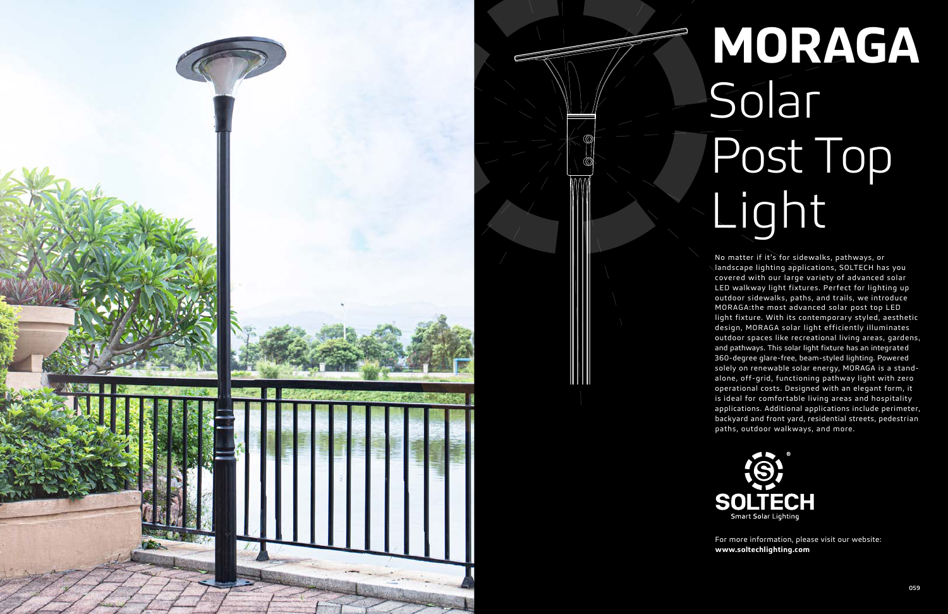

# **MORAGA** Solar Post Top Light

No matter if it's for sidewalks, pathways, or landscape lighting applications, SOLTECH has you covered with our large variety of advanced solar LED walkway light fixtures. Perfect for lighting up outdoor sidewalks, paths, and trails, we introduce MORAGA:the most advanced solar post top LED light fixture. With its contemporary styled, aesthetic design, MORAGA solar light efficiently illuminates outdoor spaces like recreational living areas, gardens, and pathways. This solar light fixture has an integrated 360-degree glare-free, beam-styled lighting. Powered solely on renewable solar energy, MORAGA is a standalone, off-grid, functioning pathway light with zero operational costs. Designed with an elegant form, it is ideal for comfortable living areas and hospitality applications. Additional applications include perimeter, backyard and front yard, residential streets, pedestrian paths, outdoor walkways, and more.



For more information, please visit our website: **www.soltechlighting.com**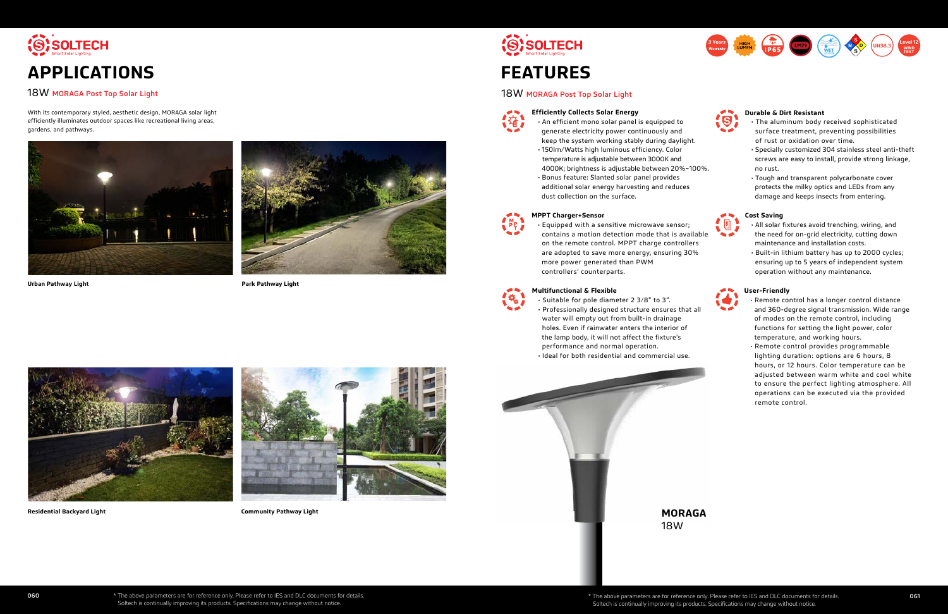

# 18W MORAGA Post Top Solar Light

With its contemporary styled, aesthetic design, MORAGA solar light efficiently illuminates outdoor spaces like recreational living areas, gardens, and pathways.





**Urban Pathway Light**



**Residential Backyard Light**

**Park Pathway Light**



**Community Pathway Light**





# 18W MORAGA Post Top Solar Light



**MORAGA** 18W





**Durable & Dirt Resistant**

- The aluminum body received sophisticated surface treatment, preventing possibilities of rust or oxidation over time.
- Specially customized 304 stainless steel anti-theft screws are easy to install, provide strong linkage, no rust.
- Tough and transparent polycarbonate cover protects the milky optics and LEDs from any damage and keeps insects from entering.



### **Multifunctional & Flexible**

• Suitable for pole diameter 2 3/8" to 3".

- Professionally designed structure ensures that all water will empty out from built-in drainage holes. Even if rainwater enters the interior of the lamp body, it will not affect the fixture's performance and normal operation.
- Ideal for both residential and commercial use.

# **Cost Saving**

- All solar fixtures avoid trenching, wiring, and the need for on-grid electricity, cutting down maintenance and installation costs.
- Built-in lithium battery has up to 2000 cycles; ensuring up to 5 years of independent system operation without any maintenance.



### **Efficiently Collects Solar Energy**

• An efficient mono solar panel is equipped to generate electricity power continuously and keep the system working stably during daylight. • 150lm/Watts high luminous efficiency. Color temperature is adjustable between 3000K and 4000K; brightness is adjustable between 20%~100%. • Bonus feature: Slanted solar panel provides additional solar energy harvesting and reduces dust collection on the surface.



• Equipped with a sensitive microwave sensor; contains a motion detection mode that is available on the remote control. MPPT charge controllers are adopted to save more energy, ensuring 30% more power generated than PWM controllers' counterparts.



# **User-Friendly**

- Remote control has a longer control distance and 360-degree signal transmission. Wide range of modes on the remote control, including functions for setting the light power, color temperature, and working hours.
- Remote control provides programmable lighting duration: options are 6 hours, 8 hours, or 12 hours. Color temperature can be adjusted between warm white and cool white to ensure the perfect lighting atmosphere. All operations can be executed via the provided remote control.

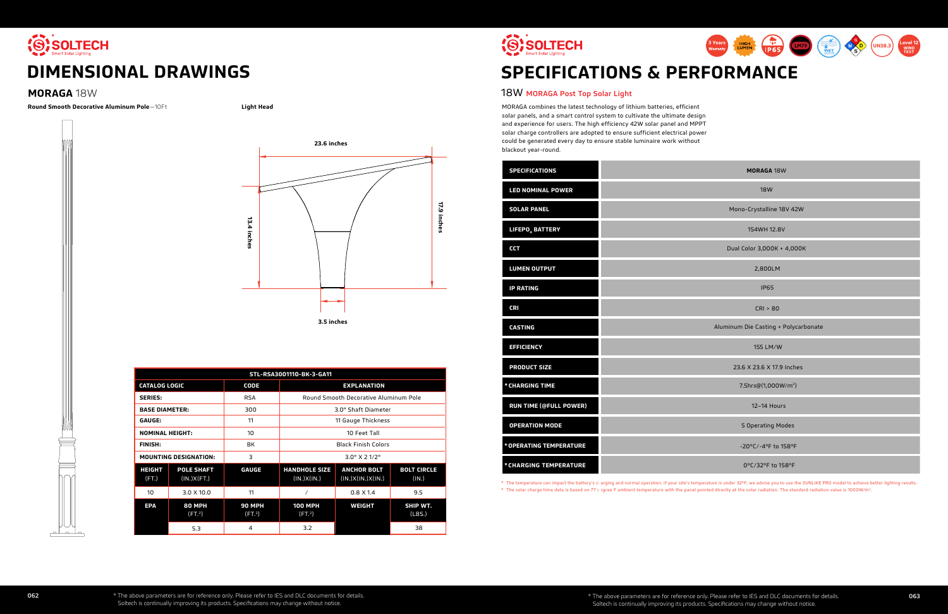

# **DIMENSIONAL DRAWINGS**

# **MORAGA** 18W

| <b>MORAGA 18W</b>                    |  |
|--------------------------------------|--|
| <b>18W</b>                           |  |
| Mono-Crystalline 18V 42W             |  |
| 154WH 12.8V                          |  |
| Dual Color 3,000K + 4,000K           |  |
| 2,800LM                              |  |
| <b>IP65</b>                          |  |
| CRI > 80                             |  |
|                                      |  |
| Aluminum Die Casting + Polycarbonate |  |
| 155 LM/W                             |  |
| 23.6 X 23.6 X 17.9 Inches            |  |
| 7.5hrs@(1,000W/m <sup>2</sup> )      |  |
| 12-14 Hours                          |  |
| 5 Operating Modes                    |  |
| -20°C/-4°F to 158°F                  |  |

# **19 SOLTECH SPECIFICATIONS & PERFORMANCE**

| <b>SPECIFICATIONS</b>         |  |
|-------------------------------|--|
| <b>LED NOMINAL POWER</b>      |  |
| <b>SOLAR PANEL</b>            |  |
| LIFEPO <sub>4</sub> BATTERY   |  |
| <b>CCT</b>                    |  |
| <b>LUMEN OUTPUT</b>           |  |
| <b>IP RATING</b>              |  |
| <b>CRI</b>                    |  |
| <b>CASTING</b>                |  |
| <b>EFFICIENCY</b>             |  |
| <b>PRODUCT SIZE</b>           |  |
| * CHARGING TIME               |  |
| <b>RUN TIME (@FULL POWER)</b> |  |
| <b>OPERATION MODE</b>         |  |
| * OPERATING TEMPERATURE       |  |
| * CHARGING TEMPERATURE        |  |

\* The temperature can impact the battery's clarging and normal operation. If your site's temperature is under 32°F, we advise you to use the SUNLIKE PRO model to achieve better lighting results.

\* The solar charge time data is based on 77 c egree F ambient temperature with the panel pointed directly at the solar radiation. The standard radiation value is 1000W/m<sup>2</sup>.

# 18W MORAGA Post Top Solar Light

MORAGA combines the latest technology of lithium batteries, efficient solar panels, and a smart control system to cultivate the ultimate design and experience for users. The high efficiency 42W solar panel and MPPT solar charge controllers are adopted to ensure sufficient electrical power could be generated every day to ensure stable luminaire work without blackout year-round.





**Round Smooth Decorative Aluminum Pole**—10Ft **Light Head**



| STL-RSA3001110-BK-3-GA11 |                                     |                                     |                                       |                                         |                             |  |  |
|--------------------------|-------------------------------------|-------------------------------------|---------------------------------------|-----------------------------------------|-----------------------------|--|--|
| <b>CATALOG LOGIC</b>     |                                     | <b>CODE</b>                         | <b>EXPLANATION</b>                    |                                         |                             |  |  |
| <b>SERIES:</b>           |                                     | <b>RSA</b>                          | Round Smooth Decorative Aluminum Pole |                                         |                             |  |  |
| <b>BASE DIAMETER:</b>    |                                     | 300                                 | 3.0" Shaft Diameter                   |                                         |                             |  |  |
| <b>GAUGE:</b>            |                                     | 11                                  | 11 Gauge Thickness                    |                                         |                             |  |  |
| <b>NOMINAL HEIGHT:</b>   |                                     | 10                                  | 10 Feet Tall                          |                                         |                             |  |  |
| <b>FINISH:</b>           |                                     | <b>BK</b>                           | <b>Black Finish Colors</b>            |                                         |                             |  |  |
|                          | <b>MOUNTING DESIGNATION:</b>        | 3                                   | $3.0"$ X 2 1/2"                       |                                         |                             |  |  |
| <b>HEIGHT</b><br>(FT)    | <b>POLE SHAFT</b><br>(IN.)X(FT.)    | <b>GAUGE</b>                        | <b>HANDHOLE SIZE</b><br>(IN.)X(IN.)   | <b>ANCHOR BOLT</b><br>(IN.)X(IN.)X(IN.) | <b>BOLT CIRCLE</b><br>(IN.) |  |  |
| 10                       | 3.0 X 10.0                          | 11                                  |                                       | $0.8 \times 1.4$                        | 9.5                         |  |  |
| <b>EPA</b>               | <b>80 MPH</b><br>(FT <sup>2</sup> ) | <b>90 MPH</b><br>(FT <sup>2</sup> ) | <b>100 MPH</b><br>(FT <sup>2</sup> )  | <b>WEIGHT</b>                           | SHIP WT.<br>(LBS.)          |  |  |
|                          | 5.3                                 | 4                                   | 3.2                                   |                                         | 38                          |  |  |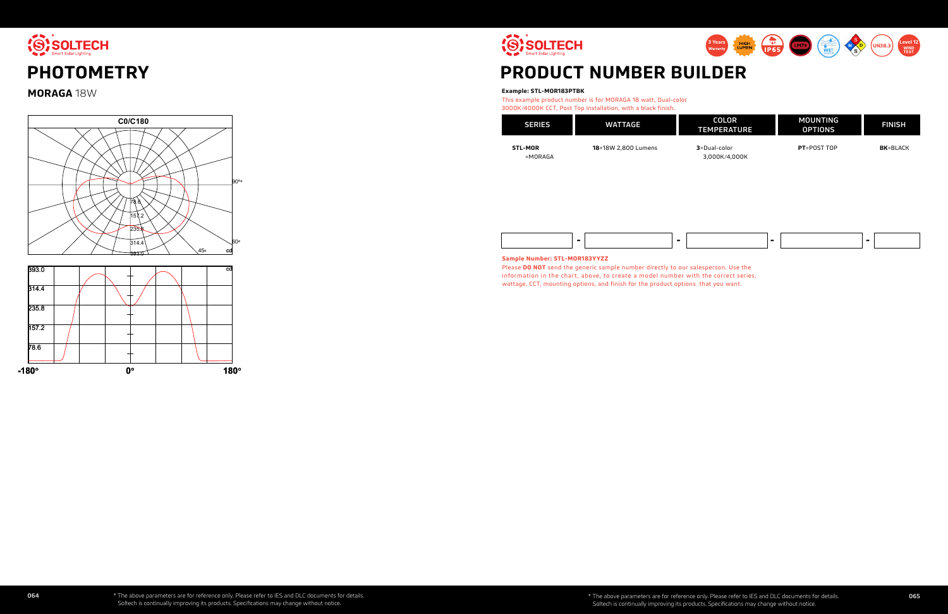

**MORAGA** 18W

# **PRODUCT NUMBER BUILDER**

information in the chart, above, to create a model number with the correct series, wattage, CCT, mounting options, and finish for the product options that you want.

# **Example: STL-MOR183PTBK**



This example product number is for MORAGA 18 watt, Dual-color 3000K/4000K CCT, Post Top Installation, with a black finish.

| <b>SERIES</b>                | <b>WATTAGE</b>      | <b>COLOR</b><br><b>.TEMPERATI</b> |
|------------------------------|---------------------|-----------------------------------|
| <b>STL-MOR</b><br>$= MORAGA$ | 18=18W 2,800 Lumens | 3=Dual-color<br>3,000K/4,00       |



**3**=Dual-color 3,000K/4,000K **PT**=POST TOP

**BK**=BLACK